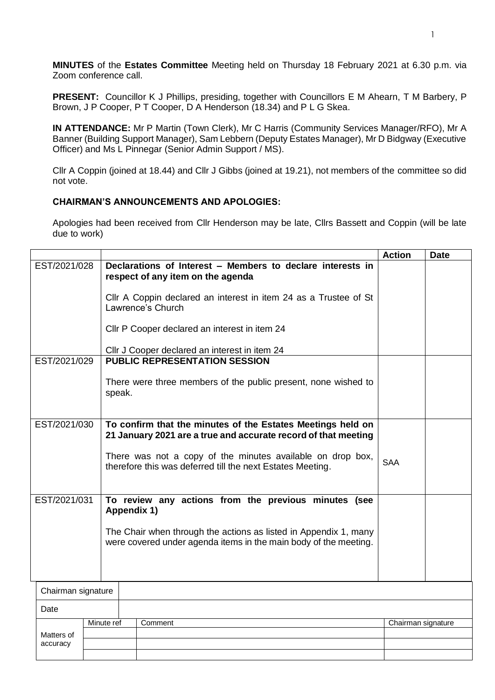**MINUTES** of the **Estates Committee** Meeting held on Thursday 18 February 2021 at 6.30 p.m. via Zoom conference call.

**PRESENT:** Councillor K J Phillips, presiding, together with Councillors E M Ahearn, T M Barbery, P Brown, J P Cooper, P T Cooper, D A Henderson (18.34) and P L G Skea.

**IN ATTENDANCE:** Mr P Martin (Town Clerk), Mr C Harris (Community Services Manager/RFO), Mr A Banner (Building Support Manager), Sam Lebbern (Deputy Estates Manager), Mr D Bidgway (Executive Officer) and Ms L Pinnegar (Senior Admin Support / MS).

Cllr A Coppin (joined at 18.44) and Cllr J Gibbs (joined at 19.21), not members of the committee so did not vote.

## **CHAIRMAN'S ANNOUNCEMENTS AND APOLOGIES:**

Apologies had been received from Cllr Henderson may be late, Cllrs Bassett and Coppin (will be late due to work)

|                        |  |             |                                                                                                                                      | <b>Action</b>      | <b>Date</b> |
|------------------------|--|-------------|--------------------------------------------------------------------------------------------------------------------------------------|--------------------|-------------|
| EST/2021/028           |  |             | Declarations of Interest - Members to declare interests in<br>respect of any item on the agenda                                      |                    |             |
|                        |  |             | CIIr A Coppin declared an interest in item 24 as a Trustee of St<br>Lawrence's Church                                                |                    |             |
|                        |  |             | Cllr P Cooper declared an interest in item 24                                                                                        |                    |             |
|                        |  |             | Cllr J Cooper declared an interest in item 24                                                                                        |                    |             |
| EST/2021/029           |  |             | <b>PUBLIC REPRESENTATION SESSION</b>                                                                                                 |                    |             |
|                        |  | speak.      | There were three members of the public present, none wished to                                                                       |                    |             |
| EST/2021/030           |  |             | To confirm that the minutes of the Estates Meetings held on<br>21 January 2021 are a true and accurate record of that meeting        |                    |             |
|                        |  |             | There was not a copy of the minutes available on drop box,<br>therefore this was deferred till the next Estates Meeting.             | <b>SAA</b>         |             |
| EST/2021/031           |  | Appendix 1) | To review any actions from the previous minutes (see                                                                                 |                    |             |
|                        |  |             | The Chair when through the actions as listed in Appendix 1, many<br>were covered under agenda items in the main body of the meeting. |                    |             |
|                        |  |             |                                                                                                                                      |                    |             |
| Chairman signature     |  |             |                                                                                                                                      |                    |             |
| Date                   |  |             |                                                                                                                                      |                    |             |
|                        |  | Minute ref  | Comment                                                                                                                              | Chairman signature |             |
| Matters of<br>accuracy |  |             |                                                                                                                                      |                    |             |
|                        |  |             |                                                                                                                                      |                    |             |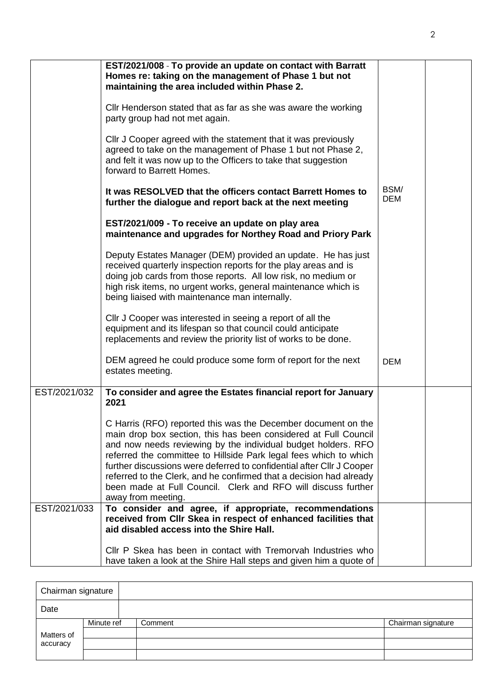|              | EST/2021/008 - To provide an update on contact with Barratt<br>Homes re: taking on the management of Phase 1 but not<br>maintaining the area included within Phase 2.                                                                                                                                                                                                                                                                                                                                         |                    |  |
|--------------|---------------------------------------------------------------------------------------------------------------------------------------------------------------------------------------------------------------------------------------------------------------------------------------------------------------------------------------------------------------------------------------------------------------------------------------------------------------------------------------------------------------|--------------------|--|
|              | Cllr Henderson stated that as far as she was aware the working<br>party group had not met again.                                                                                                                                                                                                                                                                                                                                                                                                              |                    |  |
|              | CIIr J Cooper agreed with the statement that it was previously<br>agreed to take on the management of Phase 1 but not Phase 2,<br>and felt it was now up to the Officers to take that suggestion<br>forward to Barrett Homes.                                                                                                                                                                                                                                                                                 |                    |  |
|              | It was RESOLVED that the officers contact Barrett Homes to<br>further the dialogue and report back at the next meeting                                                                                                                                                                                                                                                                                                                                                                                        | BSM/<br><b>DEM</b> |  |
|              | EST/2021/009 - To receive an update on play area<br>maintenance and upgrades for Northey Road and Priory Park                                                                                                                                                                                                                                                                                                                                                                                                 |                    |  |
|              | Deputy Estates Manager (DEM) provided an update. He has just<br>received quarterly inspection reports for the play areas and is<br>doing job cards from those reports. All low risk, no medium or<br>high risk items, no urgent works, general maintenance which is<br>being liaised with maintenance man internally.                                                                                                                                                                                         |                    |  |
|              | Cllr J Cooper was interested in seeing a report of all the<br>equipment and its lifespan so that council could anticipate<br>replacements and review the priority list of works to be done.                                                                                                                                                                                                                                                                                                                   |                    |  |
|              | DEM agreed he could produce some form of report for the next<br>estates meeting.                                                                                                                                                                                                                                                                                                                                                                                                                              | <b>DEM</b>         |  |
| EST/2021/032 | To consider and agree the Estates financial report for January<br>2021                                                                                                                                                                                                                                                                                                                                                                                                                                        |                    |  |
|              | C Harris (RFO) reported this was the December document on the<br>main drop box section, this has been considered at Full Council<br>and now needs reviewing by the individual budget holders. RFO<br>referred the committee to Hillside Park legal fees which to which<br>further discussions were deferred to confidential after CIIr J Cooper<br>referred to the Clerk, and he confirmed that a decision had already<br>been made at Full Council. Clerk and RFO will discuss further<br>away from meeting. |                    |  |
| EST/2021/033 | To consider and agree, if appropriate, recommendations<br>received from Cllr Skea in respect of enhanced facilities that<br>aid disabled access into the Shire Hall.                                                                                                                                                                                                                                                                                                                                          |                    |  |
|              | Cllr P Skea has been in contact with Tremorvah Industries who<br>have taken a look at the Shire Hall steps and given him a quote of                                                                                                                                                                                                                                                                                                                                                                           |                    |  |

| Chairman signature |            |         |                    |
|--------------------|------------|---------|--------------------|
| Date               |            |         |                    |
|                    | Minute ref | Comment | Chairman signature |
| Matters of         |            |         |                    |
| accuracy           |            |         |                    |
|                    |            |         |                    |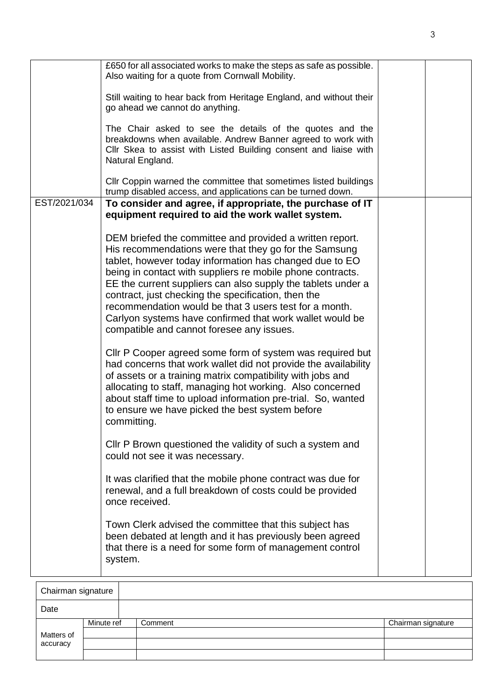|              | £650 for all associated works to make the steps as safe as possible.<br>Also waiting for a quote from Cornwall Mobility.                                                                                                                                                                                                                                                                                                                                                                                                             |
|--------------|--------------------------------------------------------------------------------------------------------------------------------------------------------------------------------------------------------------------------------------------------------------------------------------------------------------------------------------------------------------------------------------------------------------------------------------------------------------------------------------------------------------------------------------|
|              | Still waiting to hear back from Heritage England, and without their<br>go ahead we cannot do anything.                                                                                                                                                                                                                                                                                                                                                                                                                               |
|              | The Chair asked to see the details of the quotes and the<br>breakdowns when available. Andrew Banner agreed to work with<br>Cllr Skea to assist with Listed Building consent and liaise with<br>Natural England.                                                                                                                                                                                                                                                                                                                     |
|              | CIIr Coppin warned the committee that sometimes listed buildings<br>trump disabled access, and applications can be turned down.                                                                                                                                                                                                                                                                                                                                                                                                      |
| EST/2021/034 | To consider and agree, if appropriate, the purchase of IT<br>equipment required to aid the work wallet system.                                                                                                                                                                                                                                                                                                                                                                                                                       |
|              | DEM briefed the committee and provided a written report.<br>His recommendations were that they go for the Samsung<br>tablet, however today information has changed due to EO<br>being in contact with suppliers re mobile phone contracts.<br>EE the current suppliers can also supply the tablets under a<br>contract, just checking the specification, then the<br>recommendation would be that 3 users test for a month.<br>Carlyon systems have confirmed that work wallet would be<br>compatible and cannot foresee any issues. |
|              | Cllr P Cooper agreed some form of system was required but<br>had concerns that work wallet did not provide the availability<br>of assets or a training matrix compatibility with jobs and<br>allocating to staff, managing hot working. Also concerned<br>about staff time to upload information pre-trial. So, wanted<br>to ensure we have picked the best system before<br>committing.                                                                                                                                             |
|              | CIIr P Brown questioned the validity of such a system and<br>could not see it was necessary.                                                                                                                                                                                                                                                                                                                                                                                                                                         |
|              | It was clarified that the mobile phone contract was due for<br>renewal, and a full breakdown of costs could be provided<br>once received.                                                                                                                                                                                                                                                                                                                                                                                            |
|              | Town Clerk advised the committee that this subject has<br>been debated at length and it has previously been agreed<br>that there is a need for some form of management control<br>system.                                                                                                                                                                                                                                                                                                                                            |
|              |                                                                                                                                                                                                                                                                                                                                                                                                                                                                                                                                      |

| Chairman signature |            |         |                    |  |  |
|--------------------|------------|---------|--------------------|--|--|
| Date               |            |         |                    |  |  |
|                    | Minute ref | Comment | Chairman signature |  |  |
| Matters of         |            |         |                    |  |  |
| accuracy           |            |         |                    |  |  |
|                    |            |         |                    |  |  |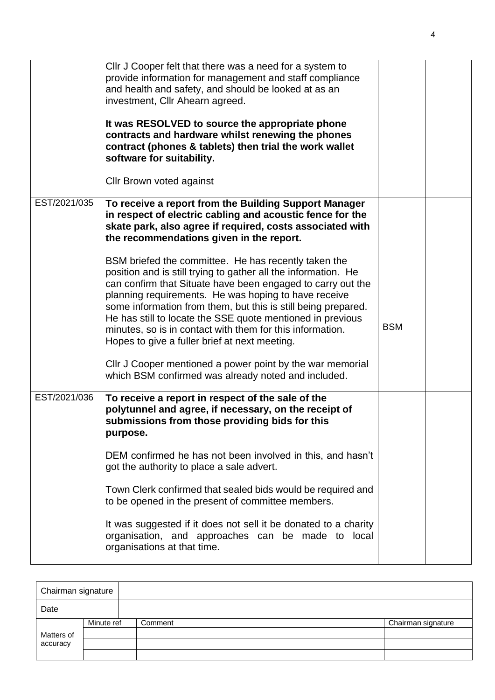|              | Cllr J Cooper felt that there was a need for a system to<br>provide information for management and staff compliance<br>and health and safety, and should be looked at as an<br>investment, Cllr Ahearn agreed.<br>It was RESOLVED to source the appropriate phone<br>contracts and hardware whilst renewing the phones<br>contract (phones & tablets) then trial the work wallet<br>software for suitability.<br>Cllr Brown voted against                                                                                                               |            |  |
|--------------|---------------------------------------------------------------------------------------------------------------------------------------------------------------------------------------------------------------------------------------------------------------------------------------------------------------------------------------------------------------------------------------------------------------------------------------------------------------------------------------------------------------------------------------------------------|------------|--|
| EST/2021/035 | To receive a report from the Building Support Manager<br>in respect of electric cabling and acoustic fence for the<br>skate park, also agree if required, costs associated with<br>the recommendations given in the report.                                                                                                                                                                                                                                                                                                                             |            |  |
|              | BSM briefed the committee. He has recently taken the<br>position and is still trying to gather all the information. He<br>can confirm that Situate have been engaged to carry out the<br>planning requirements. He was hoping to have receive<br>some information from them, but this is still being prepared.<br>He has still to locate the SSE quote mentioned in previous<br>minutes, so is in contact with them for this information.<br>Hopes to give a fuller brief at next meeting.<br>Cllr J Cooper mentioned a power point by the war memorial | <b>BSM</b> |  |
|              | which BSM confirmed was already noted and included.                                                                                                                                                                                                                                                                                                                                                                                                                                                                                                     |            |  |
| EST/2021/036 | To receive a report in respect of the sale of the<br>polytunnel and agree, if necessary, on the receipt of<br>submissions from those providing bids for this<br>purpose.                                                                                                                                                                                                                                                                                                                                                                                |            |  |
|              | DEM confirmed he has not been involved in this, and hasn't<br>got the authority to place a sale advert.                                                                                                                                                                                                                                                                                                                                                                                                                                                 |            |  |
|              | Town Clerk confirmed that sealed bids would be required and<br>to be opened in the present of committee members.                                                                                                                                                                                                                                                                                                                                                                                                                                        |            |  |
|              | It was suggested if it does not sell it be donated to a charity<br>organisation, and approaches can be made to local<br>organisations at that time.                                                                                                                                                                                                                                                                                                                                                                                                     |            |  |

| Chairman signature |            |         |                    |  |  |
|--------------------|------------|---------|--------------------|--|--|
| Date               |            |         |                    |  |  |
|                    | Minute ref | Comment | Chairman signature |  |  |
| Matters of         |            |         |                    |  |  |
| accuracy           |            |         |                    |  |  |
|                    |            |         |                    |  |  |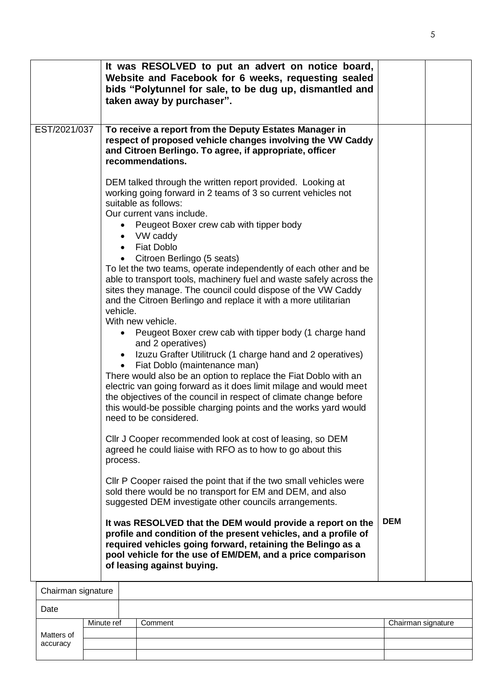|                        |            |                                             | It was RESOLVED to put an advert on notice board,<br>Website and Facebook for 6 weeks, requesting sealed<br>bids "Polytunnel for sale, to be dug up, dismantled and<br>taken away by purchaser".                                                                                                                                                                                                                                                                                                                                                                                                                                                                                                                                                                                                                                                                                                                                                                                                                                                                                                                                                                                                                                                                                                                                                                                                                                                                                                                                                                                                                                                                                                          |                    |  |
|------------------------|------------|---------------------------------------------|-----------------------------------------------------------------------------------------------------------------------------------------------------------------------------------------------------------------------------------------------------------------------------------------------------------------------------------------------------------------------------------------------------------------------------------------------------------------------------------------------------------------------------------------------------------------------------------------------------------------------------------------------------------------------------------------------------------------------------------------------------------------------------------------------------------------------------------------------------------------------------------------------------------------------------------------------------------------------------------------------------------------------------------------------------------------------------------------------------------------------------------------------------------------------------------------------------------------------------------------------------------------------------------------------------------------------------------------------------------------------------------------------------------------------------------------------------------------------------------------------------------------------------------------------------------------------------------------------------------------------------------------------------------------------------------------------------------|--------------------|--|
| EST/2021/037           |            |                                             | To receive a report from the Deputy Estates Manager in<br>respect of proposed vehicle changes involving the VW Caddy<br>and Citroen Berlingo. To agree, if appropriate, officer<br>recommendations.                                                                                                                                                                                                                                                                                                                                                                                                                                                                                                                                                                                                                                                                                                                                                                                                                                                                                                                                                                                                                                                                                                                                                                                                                                                                                                                                                                                                                                                                                                       |                    |  |
|                        |            | $\bullet$<br>٠<br>vehicle.<br>٠<br>process. | DEM talked through the written report provided. Looking at<br>working going forward in 2 teams of 3 so current vehicles not<br>suitable as follows:<br>Our current vans include.<br>Peugeot Boxer crew cab with tipper body<br>• VW caddy<br><b>Fiat Doblo</b><br>Citroen Berlingo (5 seats)<br>To let the two teams, operate independently of each other and be<br>able to transport tools, machinery fuel and waste safely across the<br>sites they manage. The council could dispose of the VW Caddy<br>and the Citroen Berlingo and replace it with a more utilitarian<br>With new vehicle.<br>Peugeot Boxer crew cab with tipper body (1 charge hand<br>and 2 operatives)<br>Izuzu Grafter Utilitruck (1 charge hand and 2 operatives)<br>Fiat Doblo (maintenance man)<br>There would also be an option to replace the Fiat Doblo with an<br>electric van going forward as it does limit milage and would meet<br>the objectives of the council in respect of climate change before<br>this would-be possible charging points and the works yard would<br>need to be considered.<br>CIIr J Cooper recommended look at cost of leasing, so DEM<br>agreed he could liaise with RFO as to how to go about this<br>CIIr P Cooper raised the point that if the two small vehicles were<br>sold there would be no transport for EM and DEM, and also<br>suggested DEM investigate other councils arrangements.<br>It was RESOLVED that the DEM would provide a report on the<br>profile and condition of the present vehicles, and a profile of<br>required vehicles going forward, retaining the Belingo as a<br>pool vehicle for the use of EM/DEM, and a price comparison<br>of leasing against buying. | <b>DEM</b>         |  |
| Chairman signature     |            |                                             |                                                                                                                                                                                                                                                                                                                                                                                                                                                                                                                                                                                                                                                                                                                                                                                                                                                                                                                                                                                                                                                                                                                                                                                                                                                                                                                                                                                                                                                                                                                                                                                                                                                                                                           |                    |  |
| Date                   |            |                                             |                                                                                                                                                                                                                                                                                                                                                                                                                                                                                                                                                                                                                                                                                                                                                                                                                                                                                                                                                                                                                                                                                                                                                                                                                                                                                                                                                                                                                                                                                                                                                                                                                                                                                                           |                    |  |
|                        | Minute ref |                                             | Comment                                                                                                                                                                                                                                                                                                                                                                                                                                                                                                                                                                                                                                                                                                                                                                                                                                                                                                                                                                                                                                                                                                                                                                                                                                                                                                                                                                                                                                                                                                                                                                                                                                                                                                   | Chairman signature |  |
| Matters of<br>accuracy |            |                                             |                                                                                                                                                                                                                                                                                                                                                                                                                                                                                                                                                                                                                                                                                                                                                                                                                                                                                                                                                                                                                                                                                                                                                                                                                                                                                                                                                                                                                                                                                                                                                                                                                                                                                                           |                    |  |
|                        |            |                                             |                                                                                                                                                                                                                                                                                                                                                                                                                                                                                                                                                                                                                                                                                                                                                                                                                                                                                                                                                                                                                                                                                                                                                                                                                                                                                                                                                                                                                                                                                                                                                                                                                                                                                                           |                    |  |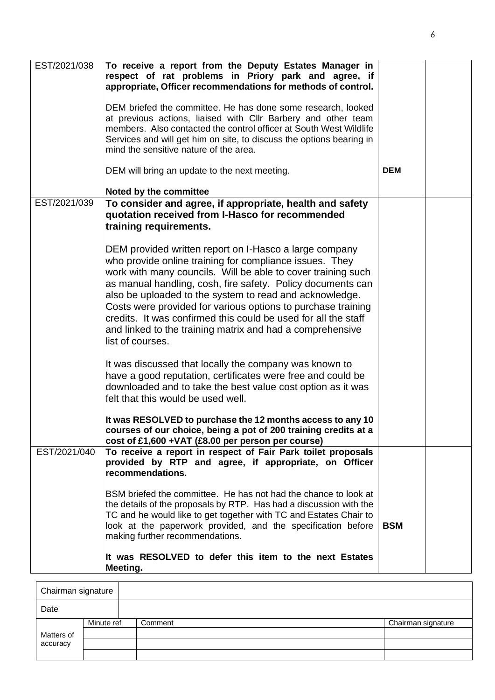| EST/2021/038 | To receive a report from the Deputy Estates Manager in<br>respect of rat problems in Priory park and agree, if<br>appropriate, Officer recommendations for methods of control.<br>DEM briefed the committee. He has done some research, looked<br>at previous actions, liaised with Cllr Barbery and other team<br>members. Also contacted the control officer at South West Wildlife<br>Services and will get him on site, to discuss the options bearing in<br>mind the sensitive nature of the area.                                                                                                                                                                                                                                                                                                                                                                                                                                                             |            |  |
|--------------|---------------------------------------------------------------------------------------------------------------------------------------------------------------------------------------------------------------------------------------------------------------------------------------------------------------------------------------------------------------------------------------------------------------------------------------------------------------------------------------------------------------------------------------------------------------------------------------------------------------------------------------------------------------------------------------------------------------------------------------------------------------------------------------------------------------------------------------------------------------------------------------------------------------------------------------------------------------------|------------|--|
|              | DEM will bring an update to the next meeting.<br>Noted by the committee                                                                                                                                                                                                                                                                                                                                                                                                                                                                                                                                                                                                                                                                                                                                                                                                                                                                                             | <b>DEM</b> |  |
| EST/2021/039 | To consider and agree, if appropriate, health and safety<br>quotation received from I-Hasco for recommended<br>training requirements.<br>DEM provided written report on I-Hasco a large company<br>who provide online training for compliance issues. They<br>work with many councils. Will be able to cover training such<br>as manual handling, cosh, fire safety. Policy documents can<br>also be uploaded to the system to read and acknowledge.<br>Costs were provided for various options to purchase training<br>credits. It was confirmed this could be used for all the staff<br>and linked to the training matrix and had a comprehensive<br>list of courses.<br>It was discussed that locally the company was known to<br>have a good reputation, certificates were free and could be<br>downloaded and to take the best value cost option as it was<br>felt that this would be used well.<br>It was RESOLVED to purchase the 12 months access to any 10 |            |  |
| EST/2021/040 | courses of our choice, being a pot of 200 training credits at a<br>cost of £1,600 + VAT (£8.00 per person per course)<br>To receive a report in respect of Fair Park toilet proposals                                                                                                                                                                                                                                                                                                                                                                                                                                                                                                                                                                                                                                                                                                                                                                               |            |  |
|              | provided by RTP and agree, if appropriate, on Officer<br>recommendations.<br>BSM briefed the committee. He has not had the chance to look at<br>the details of the proposals by RTP. Has had a discussion with the<br>TC and he would like to get together with TC and Estates Chair to<br>look at the paperwork provided, and the specification before<br>making further recommendations.<br>It was RESOLVED to defer this item to the next Estates<br>Meeting.                                                                                                                                                                                                                                                                                                                                                                                                                                                                                                    | <b>BSM</b> |  |

| Chairman signature |            |         |                    |
|--------------------|------------|---------|--------------------|
| Date               |            |         |                    |
|                    | Minute ref | Comment | Chairman signature |
| Matters of         |            |         |                    |
| accuracy           |            |         |                    |
|                    |            |         |                    |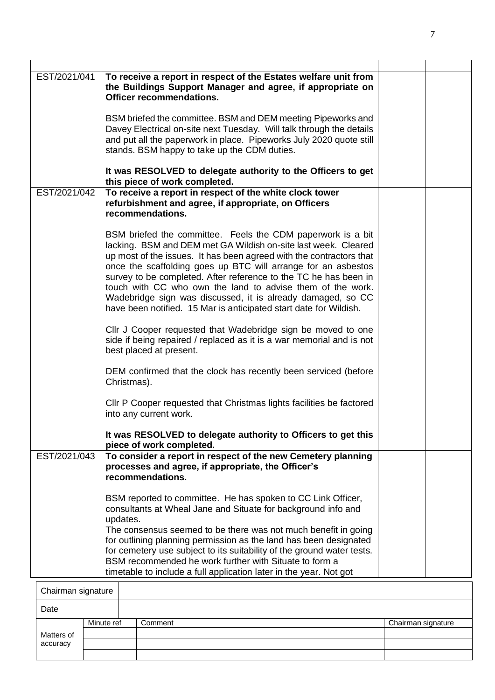| EST/2021/041     | To receive a report in respect of the Estates welfare unit from<br>the Buildings Support Manager and agree, if appropriate on<br><b>Officer recommendations.</b>                                                                                                                                                                                                                                                                                                                                                                            |  |
|------------------|---------------------------------------------------------------------------------------------------------------------------------------------------------------------------------------------------------------------------------------------------------------------------------------------------------------------------------------------------------------------------------------------------------------------------------------------------------------------------------------------------------------------------------------------|--|
|                  | BSM briefed the committee. BSM and DEM meeting Pipeworks and<br>Davey Electrical on-site next Tuesday. Will talk through the details<br>and put all the paperwork in place. Pipeworks July 2020 quote still<br>stands. BSM happy to take up the CDM duties.                                                                                                                                                                                                                                                                                 |  |
|                  | It was RESOLVED to delegate authority to the Officers to get<br>this piece of work completed.                                                                                                                                                                                                                                                                                                                                                                                                                                               |  |
| EST/2021/042     | To receive a report in respect of the white clock tower<br>refurbishment and agree, if appropriate, on Officers<br>recommendations.                                                                                                                                                                                                                                                                                                                                                                                                         |  |
|                  | BSM briefed the committee. Feels the CDM paperwork is a bit<br>lacking. BSM and DEM met GA Wildish on-site last week. Cleared<br>up most of the issues. It has been agreed with the contractors that<br>once the scaffolding goes up BTC will arrange for an asbestos<br>survey to be completed. After reference to the TC he has been in<br>touch with CC who own the land to advise them of the work.<br>Wadebridge sign was discussed, it is already damaged, so CC<br>have been notified. 15 Mar is anticipated start date for Wildish. |  |
|                  | CIIr J Cooper requested that Wadebridge sign be moved to one<br>side if being repaired / replaced as it is a war memorial and is not<br>best placed at present.                                                                                                                                                                                                                                                                                                                                                                             |  |
|                  | DEM confirmed that the clock has recently been serviced (before<br>Christmas).                                                                                                                                                                                                                                                                                                                                                                                                                                                              |  |
|                  | CIIr P Cooper requested that Christmas lights facilities be factored<br>into any current work.                                                                                                                                                                                                                                                                                                                                                                                                                                              |  |
|                  | It was RESOLVED to delegate authority to Officers to get this<br>piece of work completed.                                                                                                                                                                                                                                                                                                                                                                                                                                                   |  |
| EST/2021/043     | To consider a report in respect of the new Cemetery planning<br>processes and agree, if appropriate, the Officer's<br>recommendations.                                                                                                                                                                                                                                                                                                                                                                                                      |  |
|                  | BSM reported to committee. He has spoken to CC Link Officer,<br>consultants at Wheal Jane and Situate for background info and<br>updates.<br>The consensus seemed to be there was not much benefit in going<br>for outlining planning permission as the land has been designated<br>for cemetery use subject to its suitability of the ground water tests.<br>BSM recommended he work further with Situate to form a<br>timetable to include a full application later in the year. Not got                                                  |  |
| Phoirmon oianotu |                                                                                                                                                                                                                                                                                                                                                                                                                                                                                                                                             |  |

| Chairman signature |            |         |                    |
|--------------------|------------|---------|--------------------|
| Date               |            |         |                    |
|                    | Minute ref | Comment | Chairman signature |
| Matters of         |            |         |                    |
| accuracy           |            |         |                    |
|                    |            |         |                    |